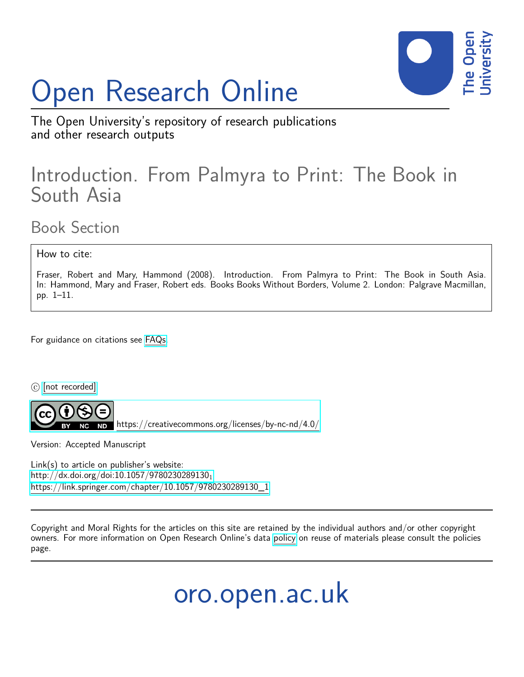## Open Research Online



The Open University's repository of research publications and other research outputs

## Introduction. From Palmyra to Print: The Book in South Asia

Book Section

How to cite:

Fraser, Robert and Mary, Hammond (2008). Introduction. From Palmyra to Print: The Book in South Asia. In: Hammond, Mary and Fraser, Robert eds. Books Books Without Borders, Volume 2. London: Palgrave Macmillan, pp. 1–11.

For guidance on citations see [FAQs.](http://oro.open.ac.uk/help/helpfaq.html)

 $\circled{c}$  [\[not recorded\]](http://oro.open.ac.uk/help/helpfaq.html#Unrecorded_information_on_coversheet)



<https://creativecommons.org/licenses/by-nc-nd/4.0/>

Version: Accepted Manuscript

Link(s) to article on publisher's website: [http://dx.doi.org/doi:10.1057/9780230289130](http://dx.doi.org/doi:10.1057/9780230289130_1)1 [https://link.springer.com/chapter/10.1057/9780230289130\\_1](https://link.springer.com/chapter/10.1057/9780230289130_1)

Copyright and Moral Rights for the articles on this site are retained by the individual authors and/or other copyright owners. For more information on Open Research Online's data [policy](http://oro.open.ac.uk/policies.html) on reuse of materials please consult the policies page.

oro.open.ac.uk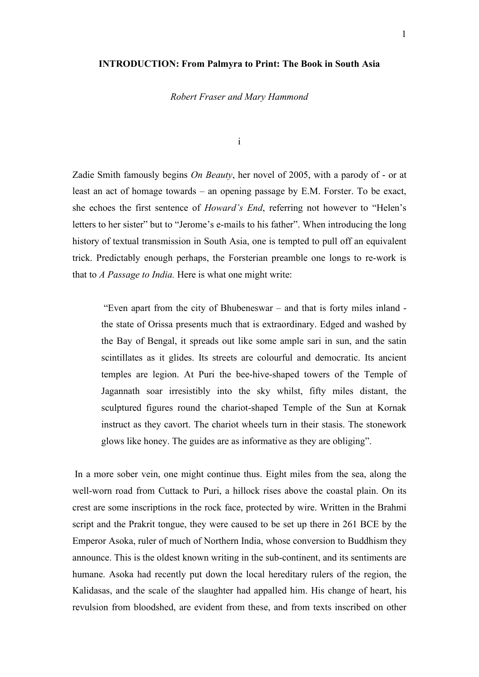## **INTRODUCTION: From Palmyra to Print: The Book in South Asia**

## *Robert Fraser and Mary Hammond*

i

Zadie Smith famously begins *On Beauty*, her novel of 2005, with a parody of - or at least an act of homage towards – an opening passage by E.M. Forster. To be exact, she echoes the first sentence of *Howard's End*, referring not however to "Helen's letters to her sister" but to "Jerome's e-mails to his father". When introducing the long history of textual transmission in South Asia, one is tempted to pull off an equivalent trick. Predictably enough perhaps, the Forsterian preamble one longs to re-work is that to *A Passage to India.* Here is what one might write:

"Even apart from the city of Bhubeneswar – and that is forty miles inland the state of Orissa presents much that is extraordinary. Edged and washed by the Bay of Bengal, it spreads out like some ample sari in sun, and the satin scintillates as it glides. Its streets are colourful and democratic. Its ancient temples are legion. At Puri the bee-hive-shaped towers of the Temple of Jagannath soar irresistibly into the sky whilst, fifty miles distant, the sculptured figures round the chariot-shaped Temple of the Sun at Kornak instruct as they cavort. The chariot wheels turn in their stasis. The stonework glows like honey. The guides are as informative as they are obliging".

In a more sober vein, one might continue thus. Eight miles from the sea, along the well-worn road from Cuttack to Puri, a hillock rises above the coastal plain. On its crest are some inscriptions in the rock face, protected by wire. Written in the Brahmi script and the Prakrit tongue, they were caused to be set up there in 261 BCE by the Emperor Asoka, ruler of much of Northern India, whose conversion to Buddhism they announce. This is the oldest known writing in the sub-continent, and its sentiments are humane. Asoka had recently put down the local hereditary rulers of the region, the Kalidasas, and the scale of the slaughter had appalled him. His change of heart, his revulsion from bloodshed, are evident from these, and from texts inscribed on other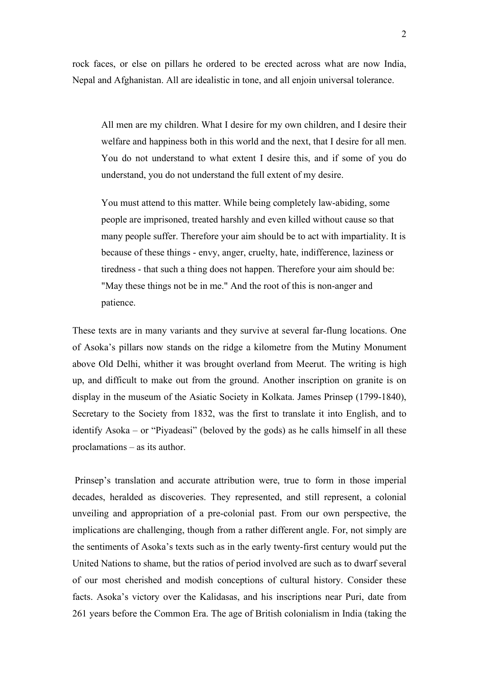rock faces, or else on pillars he ordered to be erected across what are now India, Nepal and Afghanistan. All are idealistic in tone, and all enjoin universal tolerance.

All men are my children. What I desire for my own children, and I desire their welfare and happiness both in this world and the next, that I desire for all men. You do not understand to what extent I desire this, and if some of you do understand, you do not understand the full extent of my desire.

You must attend to this matter. While being completely law-abiding, some people are imprisoned, treated harshly and even killed without cause so that many people suffer. Therefore your aim should be to act with impartiality. It is because of these things - envy, anger, cruelty, hate, indifference, laziness or tiredness - that such a thing does not happen. Therefore your aim should be: "May these things not be in me." And the root of this is non-anger and patience.

These texts are in many variants and they survive at several far-flung locations. One of Asoka's pillars now stands on the ridge a kilometre from the Mutiny Monument above Old Delhi, whither it was brought overland from Meerut. The writing is high up, and difficult to make out from the ground. Another inscription on granite is on display in the museum of the Asiatic Society in Kolkata. James Prinsep (1799-1840), Secretary to the Society from 1832, was the first to translate it into English, and to identify Asoka – or "Piyadeasi" (beloved by the gods) as he calls himself in all these proclamations – as its author.

Prinsep's translation and accurate attribution were, true to form in those imperial decades, heralded as discoveries. They represented, and still represent, a colonial unveiling and appropriation of a pre-colonial past. From our own perspective, the implications are challenging, though from a rather different angle. For, not simply are the sentiments of Asoka's texts such as in the early twenty-first century would put the United Nations to shame, but the ratios of period involved are such as to dwarf several of our most cherished and modish conceptions of cultural history. Consider these facts. Asoka's victory over the Kalidasas, and his inscriptions near Puri, date from 261 years before the Common Era. The age of British colonialism in India (taking the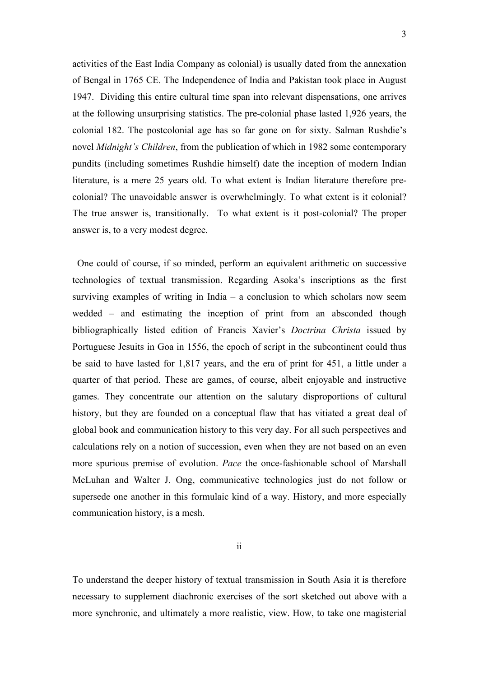activities of the East India Company as colonial) is usually dated from the annexation of Bengal in 1765 CE. The Independence of India and Pakistan took place in August 1947. Dividing this entire cultural time span into relevant dispensations, one arrives at the following unsurprising statistics. The pre-colonial phase lasted 1,926 years, the colonial 182. The postcolonial age has so far gone on for sixty. Salman Rushdie's novel *Midnight's Children*, from the publication of which in 1982 some contemporary pundits (including sometimes Rushdie himself) date the inception of modern Indian literature, is a mere 25 years old. To what extent is Indian literature therefore precolonial? The unavoidable answer is overwhelmingly. To what extent is it colonial? The true answer is, transitionally. To what extent is it post-colonial? The proper answer is, to a very modest degree.

 One could of course, if so minded, perform an equivalent arithmetic on successive technologies of textual transmission. Regarding Asoka's inscriptions as the first surviving examples of writing in India  $-$  a conclusion to which scholars now seem wedded – and estimating the inception of print from an absconded though bibliographically listed edition of Francis Xavier's *Doctrina Christa* issued by Portuguese Jesuits in Goa in 1556, the epoch of script in the subcontinent could thus be said to have lasted for 1,817 years, and the era of print for 451, a little under a quarter of that period. These are games, of course, albeit enjoyable and instructive games. They concentrate our attention on the salutary disproportions of cultural history, but they are founded on a conceptual flaw that has vitiated a great deal of global book and communication history to this very day. For all such perspectives and calculations rely on a notion of succession, even when they are not based on an even more spurious premise of evolution. *Pace* the once-fashionable school of Marshall McLuhan and Walter J. Ong, communicative technologies just do not follow or supersede one another in this formulaic kind of a way. History, and more especially communication history, is a mesh.

To understand the deeper history of textual transmission in South Asia it is therefore necessary to supplement diachronic exercises of the sort sketched out above with a more synchronic, and ultimately a more realistic, view. How, to take one magisterial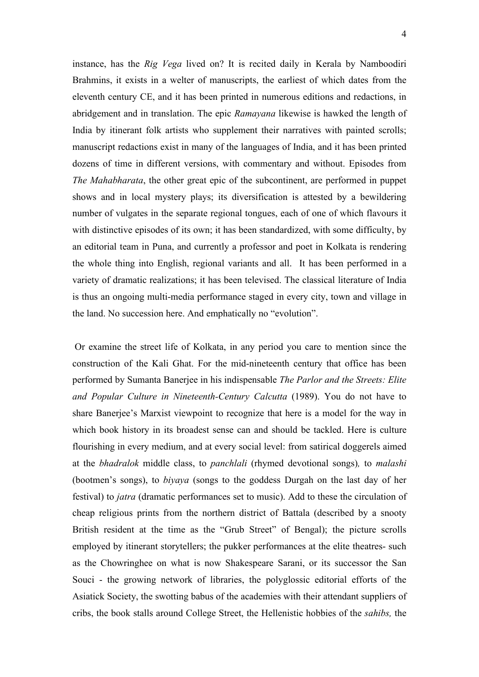instance, has the *Rig Vega* lived on? It is recited daily in Kerala by Namboodiri Brahmins, it exists in a welter of manuscripts, the earliest of which dates from the eleventh century CE, and it has been printed in numerous editions and redactions, in abridgement and in translation. The epic *Ramayana* likewise is hawked the length of India by itinerant folk artists who supplement their narratives with painted scrolls; manuscript redactions exist in many of the languages of India, and it has been printed dozens of time in different versions, with commentary and without. Episodes from *The Mahabharata*, the other great epic of the subcontinent, are performed in puppet shows and in local mystery plays; its diversification is attested by a bewildering number of vulgates in the separate regional tongues, each of one of which flavours it with distinctive episodes of its own; it has been standardized, with some difficulty, by an editorial team in Puna, and currently a professor and poet in Kolkata is rendering the whole thing into English, regional variants and all. It has been performed in a variety of dramatic realizations; it has been televised. The classical literature of India is thus an ongoing multi-media performance staged in every city, town and village in the land. No succession here. And emphatically no "evolution".

Or examine the street life of Kolkata, in any period you care to mention since the construction of the Kali Ghat. For the mid-nineteenth century that office has been performed by Sumanta Banerjee in his indispensable *The Parlor and the Streets: Elite and Popular Culture in Nineteenth-Century Calcutta* (1989). You do not have to share Banerjee's Marxist viewpoint to recognize that here is a model for the way in which book history in its broadest sense can and should be tackled. Here is culture flourishing in every medium, and at every social level: from satirical doggerels aimed at the *bhadralok* middle class, to *panchlali* (rhymed devotional songs)*,* to *malashi*  (bootmen's songs), to *biyaya* (songs to the goddess Durgah on the last day of her festival) to *jatra* (dramatic performances set to music). Add to these the circulation of cheap religious prints from the northern district of Battala (described by a snooty British resident at the time as the "Grub Street" of Bengal); the picture scrolls employed by itinerant storytellers; the pukker performances at the elite theatres- such as the Chowringhee on what is now Shakespeare Sarani, or its successor the San Souci - the growing network of libraries, the polyglossic editorial efforts of the Asiatick Society, the swotting babus of the academies with their attendant suppliers of cribs, the book stalls around College Street, the Hellenistic hobbies of the *sahibs,* the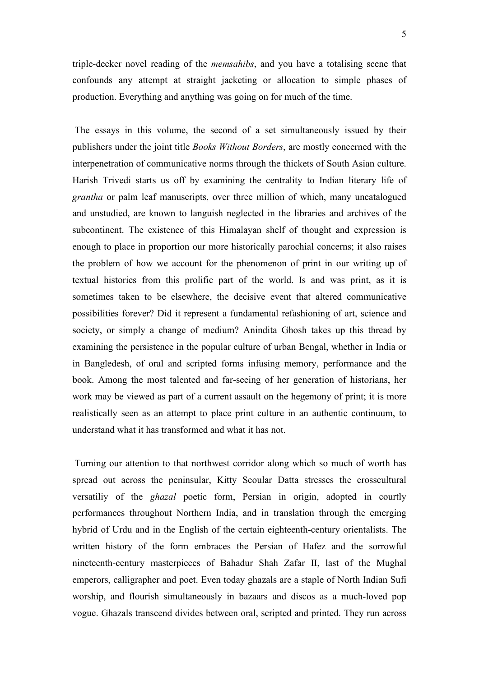triple-decker novel reading of the *memsahibs*, and you have a totalising scene that confounds any attempt at straight jacketing or allocation to simple phases of production. Everything and anything was going on for much of the time.

The essays in this volume, the second of a set simultaneously issued by their publishers under the joint title *Books Without Borders*, are mostly concerned with the interpenetration of communicative norms through the thickets of South Asian culture. Harish Trivedi starts us off by examining the centrality to Indian literary life of *grantha* or palm leaf manuscripts, over three million of which, many uncatalogued and unstudied, are known to languish neglected in the libraries and archives of the subcontinent. The existence of this Himalayan shelf of thought and expression is enough to place in proportion our more historically parochial concerns; it also raises the problem of how we account for the phenomenon of print in our writing up of textual histories from this prolific part of the world. Is and was print, as it is sometimes taken to be elsewhere, the decisive event that altered communicative possibilities forever? Did it represent a fundamental refashioning of art, science and society, or simply a change of medium? Anindita Ghosh takes up this thread by examining the persistence in the popular culture of urban Bengal, whether in India or in Bangledesh, of oral and scripted forms infusing memory, performance and the book. Among the most talented and far-seeing of her generation of historians, her work may be viewed as part of a current assault on the hegemony of print; it is more realistically seen as an attempt to place print culture in an authentic continuum, to understand what it has transformed and what it has not.

Turning our attention to that northwest corridor along which so much of worth has spread out across the peninsular, Kitty Scoular Datta stresses the crosscultural versatiliy of the *ghazal* poetic form, Persian in origin, adopted in courtly performances throughout Northern India, and in translation through the emerging hybrid of Urdu and in the English of the certain eighteenth-century orientalists. The written history of the form embraces the Persian of Hafez and the sorrowful nineteenth-century masterpieces of Bahadur Shah Zafar II, last of the Mughal emperors, calligrapher and poet. Even today ghazals are a staple of North Indian Sufi worship, and flourish simultaneously in bazaars and discos as a much-loved pop vogue. Ghazals transcend divides between oral, scripted and printed. They run across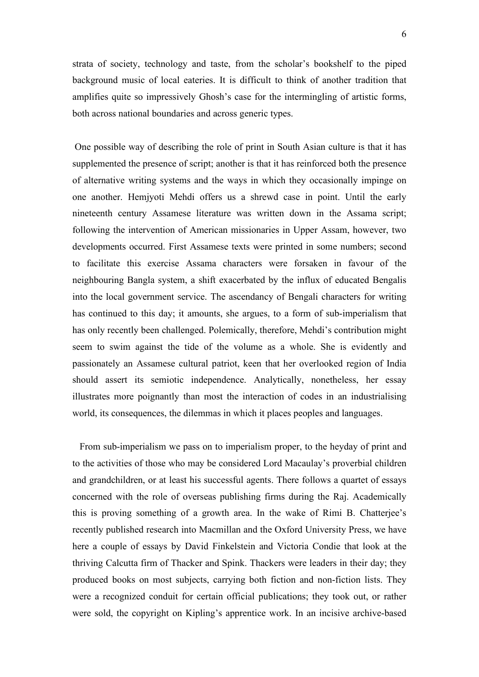strata of society, technology and taste, from the scholar's bookshelf to the piped background music of local eateries. It is difficult to think of another tradition that amplifies quite so impressively Ghosh's case for the intermingling of artistic forms, both across national boundaries and across generic types.

One possible way of describing the role of print in South Asian culture is that it has supplemented the presence of script; another is that it has reinforced both the presence of alternative writing systems and the ways in which they occasionally impinge on one another. Hemjyoti Mehdi offers us a shrewd case in point. Until the early nineteenth century Assamese literature was written down in the Assama script; following the intervention of American missionaries in Upper Assam, however, two developments occurred. First Assamese texts were printed in some numbers; second to facilitate this exercise Assama characters were forsaken in favour of the neighbouring Bangla system, a shift exacerbated by the influx of educated Bengalis into the local government service. The ascendancy of Bengali characters for writing has continued to this day; it amounts, she argues, to a form of sub-imperialism that has only recently been challenged. Polemically, therefore, Mehdi's contribution might seem to swim against the tide of the volume as a whole. She is evidently and passionately an Assamese cultural patriot, keen that her overlooked region of India should assert its semiotic independence. Analytically, nonetheless, her essay illustrates more poignantly than most the interaction of codes in an industrialising world, its consequences, the dilemmas in which it places peoples and languages.

 From sub-imperialism we pass on to imperialism proper, to the heyday of print and to the activities of those who may be considered Lord Macaulay's proverbial children and grandchildren, or at least his successful agents. There follows a quartet of essays concerned with the role of overseas publishing firms during the Raj. Academically this is proving something of a growth area. In the wake of Rimi B. Chatterjee's recently published research into Macmillan and the Oxford University Press, we have here a couple of essays by David Finkelstein and Victoria Condie that look at the thriving Calcutta firm of Thacker and Spink. Thackers were leaders in their day; they produced books on most subjects, carrying both fiction and non-fiction lists. They were a recognized conduit for certain official publications; they took out, or rather were sold, the copyright on Kipling's apprentice work. In an incisive archive-based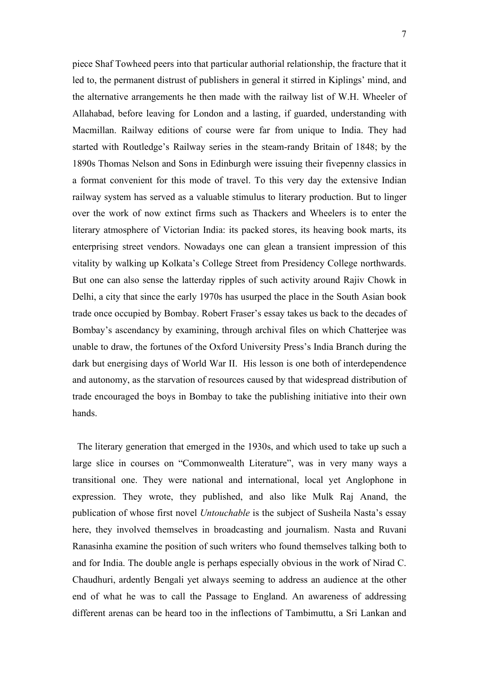piece Shaf Towheed peers into that particular authorial relationship, the fracture that it led to, the permanent distrust of publishers in general it stirred in Kiplings' mind, and the alternative arrangements he then made with the railway list of W.H. Wheeler of Allahabad, before leaving for London and a lasting, if guarded, understanding with Macmillan. Railway editions of course were far from unique to India. They had started with Routledge's Railway series in the steam-randy Britain of 1848; by the 1890s Thomas Nelson and Sons in Edinburgh were issuing their fivepenny classics in a format convenient for this mode of travel. To this very day the extensive Indian railway system has served as a valuable stimulus to literary production. But to linger over the work of now extinct firms such as Thackers and Wheelers is to enter the literary atmosphere of Victorian India: its packed stores, its heaving book marts, its enterprising street vendors. Nowadays one can glean a transient impression of this vitality by walking up Kolkata's College Street from Presidency College northwards. But one can also sense the latterday ripples of such activity around Rajiv Chowk in Delhi, a city that since the early 1970s has usurped the place in the South Asian book trade once occupied by Bombay. Robert Fraser's essay takes us back to the decades of Bombay's ascendancy by examining, through archival files on which Chatterjee was

unable to draw, the fortunes of the Oxford University Press's India Branch during the dark but energising days of World War II. His lesson is one both of interdependence and autonomy, as the starvation of resources caused by that widespread distribution of trade encouraged the boys in Bombay to take the publishing initiative into their own hands.

 The literary generation that emerged in the 1930s, and which used to take up such a large slice in courses on "Commonwealth Literature", was in very many ways a transitional one. They were national and international, local yet Anglophone in expression. They wrote, they published, and also like Mulk Raj Anand, the publication of whose first novel *Untouchable* is the subject of Susheila Nasta's essay here, they involved themselves in broadcasting and journalism. Nasta and Ruvani Ranasinha examine the position of such writers who found themselves talking both to and for India. The double angle is perhaps especially obvious in the work of Nirad C. Chaudhuri, ardently Bengali yet always seeming to address an audience at the other end of what he was to call the Passage to England. An awareness of addressing different arenas can be heard too in the inflections of Tambimuttu, a Sri Lankan and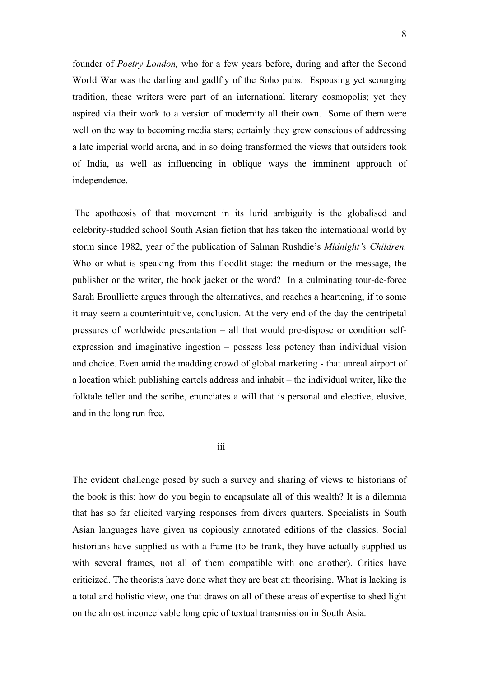founder of *Poetry London,* who for a few years before, during and after the Second World War was the darling and gadlfly of the Soho pubs. Espousing yet scourging tradition, these writers were part of an international literary cosmopolis; yet they aspired via their work to a version of modernity all their own. Some of them were well on the way to becoming media stars; certainly they grew conscious of addressing a late imperial world arena, and in so doing transformed the views that outsiders took of India, as well as influencing in oblique ways the imminent approach of independence.

The apotheosis of that movement in its lurid ambiguity is the globalised and celebrity-studded school South Asian fiction that has taken the international world by storm since 1982, year of the publication of Salman Rushdie's *Midnight's Children.*  Who or what is speaking from this floodlit stage: the medium or the message, the publisher or the writer, the book jacket or the word? In a culminating tour-de-force Sarah Broulliette argues through the alternatives, and reaches a heartening, if to some it may seem a counterintuitive, conclusion. At the very end of the day the centripetal pressures of worldwide presentation – all that would pre-dispose or condition selfexpression and imaginative ingestion – possess less potency than individual vision and choice. Even amid the madding crowd of global marketing - that unreal airport of a location which publishing cartels address and inhabit – the individual writer, like the folktale teller and the scribe, enunciates a will that is personal and elective, elusive, and in the long run free.

iii

The evident challenge posed by such a survey and sharing of views to historians of the book is this: how do you begin to encapsulate all of this wealth? It is a dilemma that has so far elicited varying responses from divers quarters. Specialists in South Asian languages have given us copiously annotated editions of the classics. Social historians have supplied us with a frame (to be frank, they have actually supplied us with several frames, not all of them compatible with one another). Critics have criticized. The theorists have done what they are best at: theorising. What is lacking is a total and holistic view, one that draws on all of these areas of expertise to shed light on the almost inconceivable long epic of textual transmission in South Asia.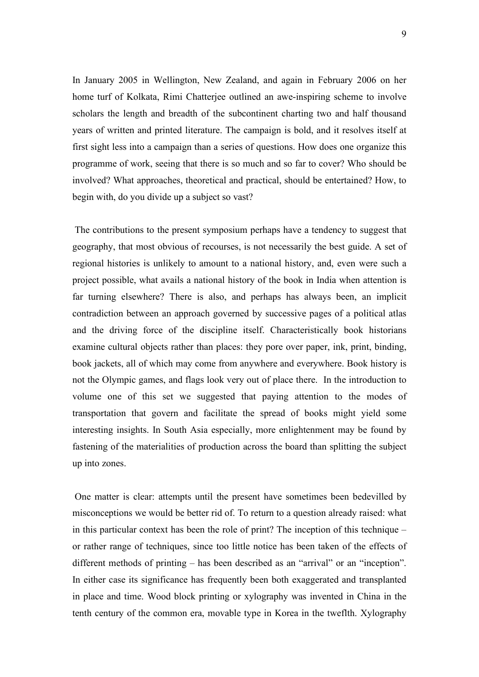In January 2005 in Wellington, New Zealand, and again in February 2006 on her home turf of Kolkata, Rimi Chatterjee outlined an awe-inspiring scheme to involve scholars the length and breadth of the subcontinent charting two and half thousand years of written and printed literature. The campaign is bold, and it resolves itself at first sight less into a campaign than a series of questions. How does one organize this programme of work, seeing that there is so much and so far to cover? Who should be involved? What approaches, theoretical and practical, should be entertained? How, to begin with, do you divide up a subject so vast?

The contributions to the present symposium perhaps have a tendency to suggest that geography, that most obvious of recourses, is not necessarily the best guide. A set of regional histories is unlikely to amount to a national history, and, even were such a project possible, what avails a national history of the book in India when attention is far turning elsewhere? There is also, and perhaps has always been, an implicit contradiction between an approach governed by successive pages of a political atlas and the driving force of the discipline itself. Characteristically book historians examine cultural objects rather than places: they pore over paper, ink, print, binding, book jackets, all of which may come from anywhere and everywhere. Book history is not the Olympic games, and flags look very out of place there. In the introduction to volume one of this set we suggested that paying attention to the modes of transportation that govern and facilitate the spread of books might yield some interesting insights. In South Asia especially, more enlightenment may be found by fastening of the materialities of production across the board than splitting the subject up into zones.

One matter is clear: attempts until the present have sometimes been bedevilled by misconceptions we would be better rid of. To return to a question already raised: what in this particular context has been the role of print? The inception of this technique – or rather range of techniques, since too little notice has been taken of the effects of different methods of printing – has been described as an "arrival" or an "inception". In either case its significance has frequently been both exaggerated and transplanted in place and time. Wood block printing or xylography was invented in China in the tenth century of the common era, movable type in Korea in the tweflth. Xylography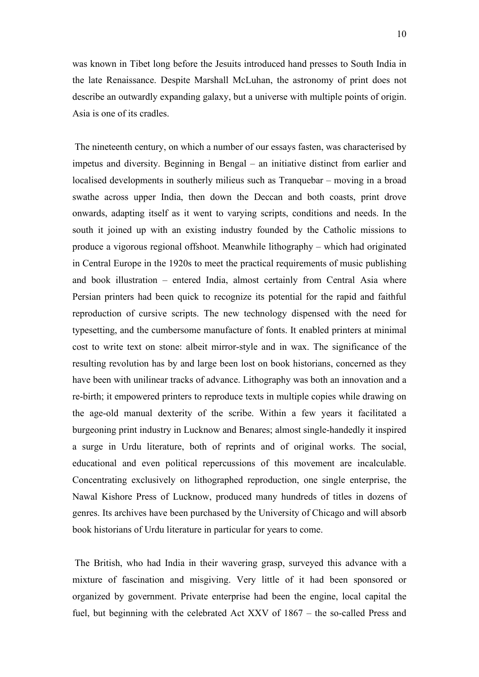was known in Tibet long before the Jesuits introduced hand presses to South India in the late Renaissance. Despite Marshall McLuhan, the astronomy of print does not describe an outwardly expanding galaxy, but a universe with multiple points of origin. Asia is one of its cradles.

The nineteenth century, on which a number of our essays fasten, was characterised by impetus and diversity. Beginning in Bengal – an initiative distinct from earlier and localised developments in southerly milieus such as Tranquebar – moving in a broad swathe across upper India, then down the Deccan and both coasts, print drove onwards, adapting itself as it went to varying scripts, conditions and needs. In the south it joined up with an existing industry founded by the Catholic missions to produce a vigorous regional offshoot. Meanwhile lithography – which had originated in Central Europe in the 1920s to meet the practical requirements of music publishing and book illustration – entered India, almost certainly from Central Asia where Persian printers had been quick to recognize its potential for the rapid and faithful reproduction of cursive scripts. The new technology dispensed with the need for typesetting, and the cumbersome manufacture of fonts. It enabled printers at minimal cost to write text on stone: albeit mirror-style and in wax. The significance of the resulting revolution has by and large been lost on book historians, concerned as they have been with unilinear tracks of advance. Lithography was both an innovation and a re-birth; it empowered printers to reproduce texts in multiple copies while drawing on the age-old manual dexterity of the scribe. Within a few years it facilitated a burgeoning print industry in Lucknow and Benares; almost single-handedly it inspired a surge in Urdu literature, both of reprints and of original works. The social, educational and even political repercussions of this movement are incalculable. Concentrating exclusively on lithographed reproduction, one single enterprise, the Nawal Kishore Press of Lucknow, produced many hundreds of titles in dozens of genres. Its archives have been purchased by the University of Chicago and will absorb book historians of Urdu literature in particular for years to come.

The British, who had India in their wavering grasp, surveyed this advance with a mixture of fascination and misgiving. Very little of it had been sponsored or organized by government. Private enterprise had been the engine, local capital the fuel, but beginning with the celebrated Act XXV of 1867 – the so-called Press and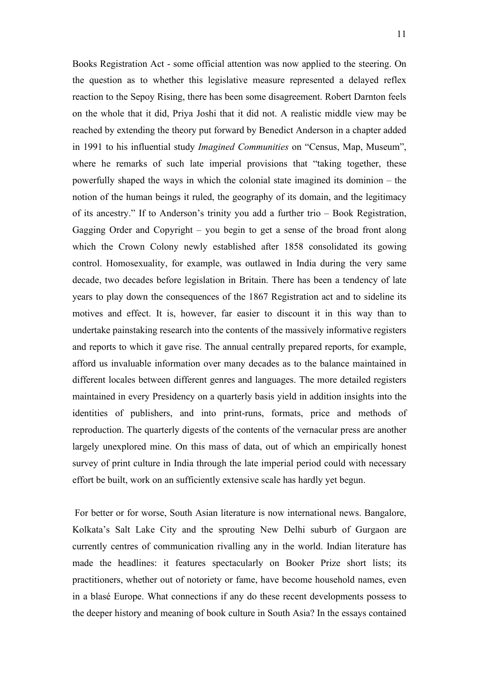Books Registration Act - some official attention was now applied to the steering. On the question as to whether this legislative measure represented a delayed reflex reaction to the Sepoy Rising, there has been some disagreement. Robert Darnton feels on the whole that it did, Priya Joshi that it did not. A realistic middle view may be reached by extending the theory put forward by Benedict Anderson in a chapter added in 1991 to his influential study *Imagined Communities* on "Census, Map, Museum", where he remarks of such late imperial provisions that "taking together, these powerfully shaped the ways in which the colonial state imagined its dominion – the notion of the human beings it ruled, the geography of its domain, and the legitimacy of its ancestry." If to Anderson's trinity you add a further trio – Book Registration, Gagging Order and Copyright – you begin to get a sense of the broad front along which the Crown Colony newly established after 1858 consolidated its gowing control. Homosexuality, for example, was outlawed in India during the very same decade, two decades before legislation in Britain. There has been a tendency of late years to play down the consequences of the 1867 Registration act and to sideline its motives and effect. It is, however, far easier to discount it in this way than to undertake painstaking research into the contents of the massively informative registers and reports to which it gave rise. The annual centrally prepared reports, for example, afford us invaluable information over many decades as to the balance maintained in different locales between different genres and languages. The more detailed registers maintained in every Presidency on a quarterly basis yield in addition insights into the identities of publishers, and into print-runs, formats, price and methods of reproduction. The quarterly digests of the contents of the vernacular press are another largely unexplored mine. On this mass of data, out of which an empirically honest survey of print culture in India through the late imperial period could with necessary effort be built, work on an sufficiently extensive scale has hardly yet begun.

For better or for worse, South Asian literature is now international news. Bangalore, Kolkata's Salt Lake City and the sprouting New Delhi suburb of Gurgaon are currently centres of communication rivalling any in the world. Indian literature has made the headlines: it features spectacularly on Booker Prize short lists; its practitioners, whether out of notoriety or fame, have become household names, even in a blasé Europe. What connections if any do these recent developments possess to the deeper history and meaning of book culture in South Asia? In the essays contained